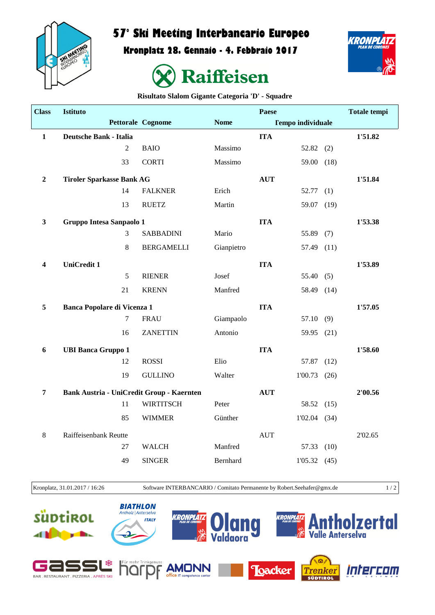

## **57° Ski Meeting Interbancario Europeo**

**Kronplatz 28. Gennaio - 4. Febbraio 2017**





**Risultato Slalom Gigante Categoria 'D' - Squadre**

| <b>Class</b>     | <b>Istituto</b>                                  |                   |             | <b>Paese</b> |                          |         | <b>Totale tempi</b> |
|------------------|--------------------------------------------------|-------------------|-------------|--------------|--------------------------|---------|---------------------|
|                  |                                                  | Pettorale Cognome | <b>Nome</b> |              | <b>Tempo individuale</b> |         |                     |
| $\mathbf{1}$     | <b>Deutsche Bank - Italia</b>                    |                   |             | <b>ITA</b>   |                          |         | 1'51.82             |
|                  | $\overline{2}$                                   | <b>BAIO</b>       | Massimo     |              | $52.82$ (2)              |         |                     |
|                  | 33                                               | <b>CORTI</b>      | Massimo     |              | 59.00 (18)               |         |                     |
| $\boldsymbol{2}$ | <b>Tiroler Sparkasse Bank AG</b>                 |                   |             | <b>AUT</b>   |                          |         | 1'51.84             |
|                  | 14                                               | <b>FALKNER</b>    | Erich       |              | 52.77                    | (1)     |                     |
|                  | 13                                               | <b>RUETZ</b>      | Martin      |              | 59.07                    | (19)    |                     |
| $\mathbf{3}$     | Gruppo Intesa Sanpaolo 1                         |                   | <b>ITA</b>  |              |                          | 1'53.38 |                     |
|                  | $\mathfrak{Z}$                                   | <b>SABBADINI</b>  | Mario       |              | 55.89                    | (7)     |                     |
|                  | 8                                                | <b>BERGAMELLI</b> | Gianpietro  |              | 57.49 (11)               |         |                     |
| 4                | <b>UniCredit 1</b>                               |                   |             | <b>ITA</b>   |                          |         | 1'53.89             |
|                  | 5                                                | <b>RIENER</b>     | Josef       |              | 55.40(5)                 |         |                     |
|                  | 21                                               | <b>KRENN</b>      | Manfred     |              | 58.49 (14)               |         |                     |
| 5                | <b>Banca Popolare di Vicenza 1</b>               |                   |             | <b>ITA</b>   |                          |         | 1'57.05             |
|                  | $\tau$                                           | <b>FRAU</b>       | Giampaolo   |              | 57.10(9)                 |         |                     |
|                  | 16                                               | <b>ZANETTIN</b>   | Antonio     |              | 59.95                    | (21)    |                     |
| 6                | <b>UBI Banca Gruppo 1</b>                        |                   |             | <b>ITA</b>   |                          |         | 1'58.60             |
|                  | 12                                               | <b>ROSSI</b>      | Elio        |              | 57.87                    | (12)    |                     |
|                  | 19                                               | <b>GULLINO</b>    | Walter      |              | $1'00.73$ (26)           |         |                     |
| $\overline{7}$   | <b>Bank Austria - UniCredit Group - Kaernten</b> |                   |             | <b>AUT</b>   |                          |         | 2'00.56             |
|                  | 11                                               | <b>WIRTITSCH</b>  | Peter       |              | 58.52 (15)               |         |                     |
|                  | 85                                               | <b>WIMMER</b>     | Günther     |              | $1'02.04$ (34)           |         |                     |
| $\,8\,$          | Raiffeisenbank Reutte                            |                   |             | <b>AUT</b>   |                          |         | 2'02.65             |
|                  | 27                                               | <b>WALCH</b>      | Manfred     |              | 57.33                    | (10)    |                     |
|                  | 49                                               | <b>SINGER</b>     | Bernhard    |              | 1'05.32(45)              |         |                     |
|                  |                                                  |                   |             |              |                          |         |                     |

Kronplatz, 31.01.2017 / 16:26 Software INTERBANCARIO / Comitato Permanente by Robert.Seehafer@gmx.de 1 / 2